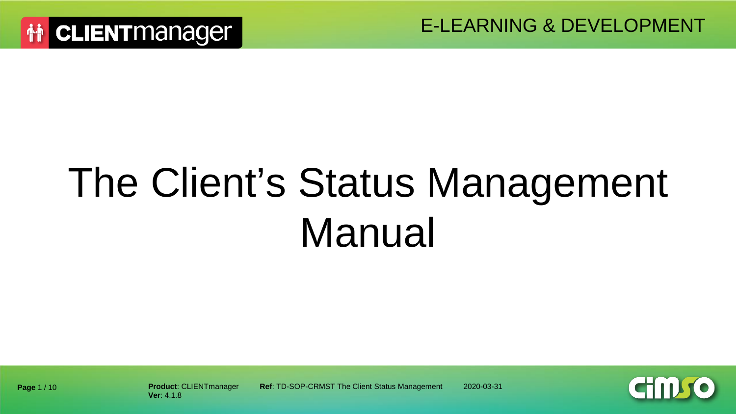# The Client's Status Management Manual

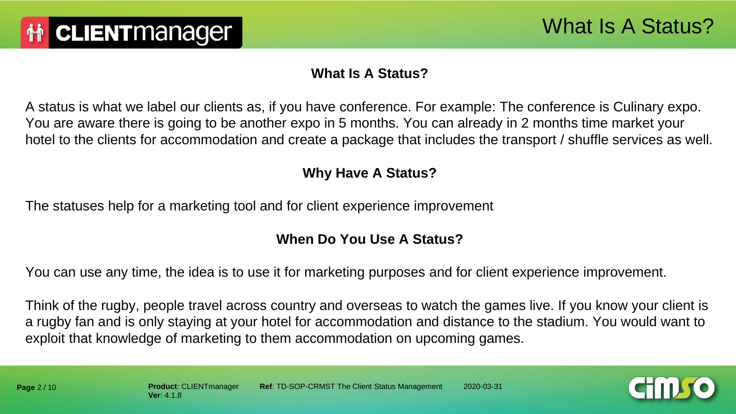#### **What Is A Status?**

A status is what we label our clients as, if you have conference. For example: The conference is Culinary expo. You are aware there is going to be another expo in 5 months. You can already in 2 months time market your hotel to the clients for accommodation and create a package that includes the transport / shuffle services as well.

#### **Why Have A Status?**

The statuses help for a marketing tool and for client experience improvement

#### **When Do You Use A Status?**

You can use any time, the idea is to use it for marketing purposes and for client experience improvement.

Think of the rugby, people travel across country and overseas to watch the games live. If you know your client is a rugby fan and is only staying at your hotel for accommodation and distance to the stadium. You would want to exploit that knowledge of marketing to them accommodation on upcoming games.

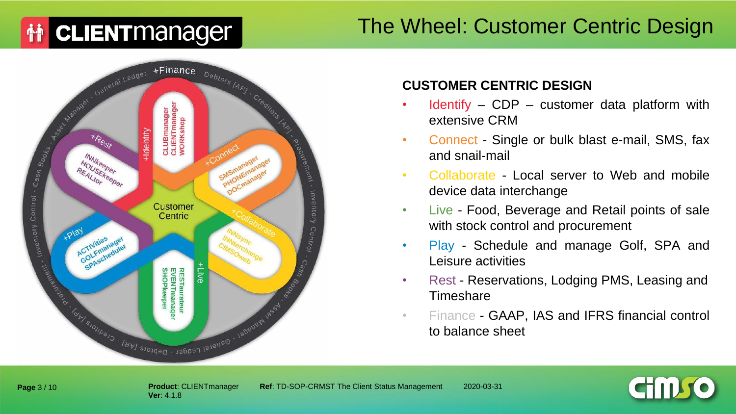# **赫 CLIENT** manager

## The Wheel: Customer Centric Design



#### **CUSTOMER CENTRIC DESIGN**

- Identify  $-$  CDP  $-$  customer data platform with extensive CRM
- Connect Single or bulk blast e-mail, SMS, fax and snail-mail
- Collaborate Local server to Web and mobile device data interchange
- Live Food, Beverage and Retail points of sale with stock control and procurement
- Play Schedule and manage Golf, SPA and Leisure activities
- Rest Reservations, Lodging PMS, Leasing and **Timeshare**
- Finance GAAP, IAS and IFRS financial control to balance sheet



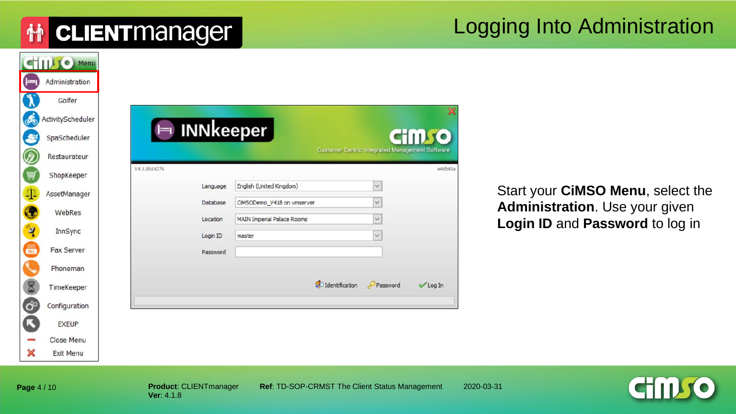#### Logging Into Administration

|    | STILL C Menu      |
|----|-------------------|
|    | Administration    |
|    | Golfer            |
| G  | ActivityScheduler |
|    | SpaScheduler      |
|    | Restaurateur      |
|    | ShopKeeper        |
| 4  | AssetManager      |
|    | WebRes            |
| ୍ୟ | InnSync           |
| 圆  | Fax Server        |
|    | Phoneman          |
|    | TimeKeeper        |
|    | Configuration     |
|    | <b>EXEUP</b>      |
|    | Close Menu        |
| ×  | <b>Exit Menu</b>  |

Start your **CiMSO Menu**, select the **Administration**. Use your given **Login ID** and **Password** to log in

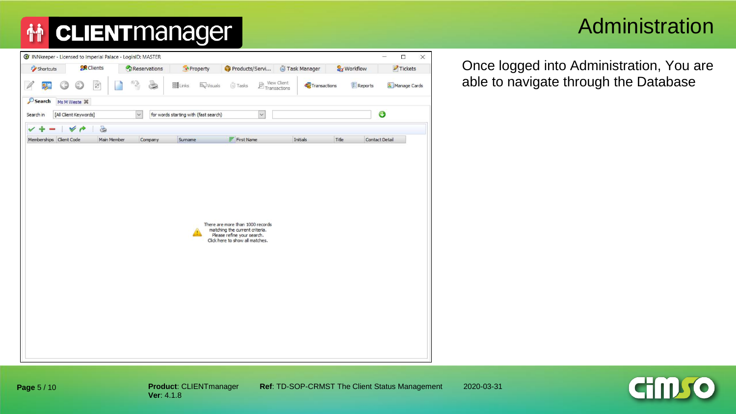#### Administration

|           |                         |                   | G INNkeeper - Licensed to Imperial Palace - LoginID: MASTER |                                       |                                                                                                                                     |                                                                                                                                                                                                                                                           |              |                       | $\equiv$       | $\Box$<br>$\times$ |
|-----------|-------------------------|-------------------|-------------------------------------------------------------|---------------------------------------|-------------------------------------------------------------------------------------------------------------------------------------|-----------------------------------------------------------------------------------------------------------------------------------------------------------------------------------------------------------------------------------------------------------|--------------|-----------------------|----------------|--------------------|
| Shortcuts |                         | <b>CR</b> Clients | Reservations                                                | Property                              | Products/Servi                                                                                                                      |                                                                                                                                                                                                                                                           | Task Manager | <b>&amp;</b> Workflow |                | Tickets            |
|           |                         | $\mathcal{C}$     | ۵                                                           | <b>EN</b> Links                       | Tasks<br><b>K</b> Visuals                                                                                                           | $\begin{picture}(120,140)(-0.000,0.000)(-0.000,0.000)(-0.000,0.000)(-0.000,0.000)(-0.000,0.000)(-0.000,0.000)(-0.000,0.000)(-0.000,0.000)(-0.000,0.000)(-0.000,0.000)(-0.000,0.000)(-0.000,0.000)(-0.000,0.000)(-0.000,0.000)(-0.000,0.000)(-0.000,0.000$ | Transactions |                       | <b>Reports</b> | Manage Cards       |
| Search    | Ms M Weste X            |                   |                                                             |                                       |                                                                                                                                     |                                                                                                                                                                                                                                                           |              |                       |                |                    |
| Search in | [All Client Keywords]   |                   | $\checkmark$                                                | for words starting with (fast search) |                                                                                                                                     | $\check{~}$                                                                                                                                                                                                                                               |              |                       | ⊙              |                    |
| ✓         | $\rightarrow$<br>v      | 8                 |                                                             |                                       |                                                                                                                                     |                                                                                                                                                                                                                                                           |              |                       |                |                    |
|           | Memberships Client Code | Main Member       | Company                                                     | Surname                               | $F$ First Name                                                                                                                      |                                                                                                                                                                                                                                                           | Initials     | Title                 | Contact Detail |                    |
|           |                         |                   |                                                             |                                       | There are more than 1000 records<br>matching the current criteria.<br>Please refine your search.<br>Click here to show all matches. |                                                                                                                                                                                                                                                           |              |                       |                |                    |

Once logged into Administration, You are able to navigate through the Database



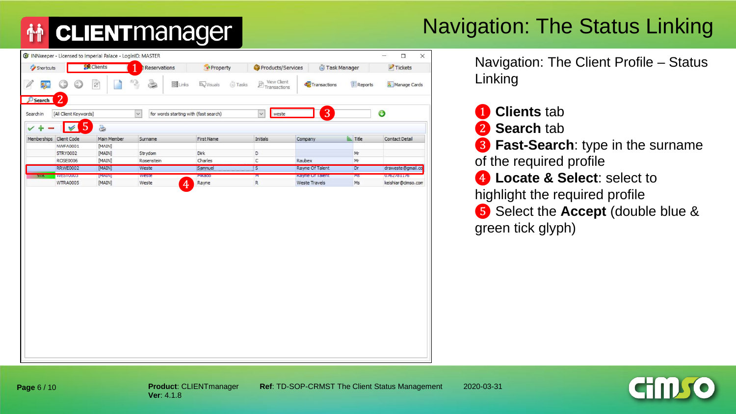## Navigation: The Status Linking

|                         |                                         | G INNkeeper - Licensed to Imperial Palace - LoginID: MASTER |                                                       |                                   |                             |                                  |                    | $\Box$<br>$\times$<br>$\overline{\phantom{a}}$ |
|-------------------------|-----------------------------------------|-------------------------------------------------------------|-------------------------------------------------------|-----------------------------------|-----------------------------|----------------------------------|--------------------|------------------------------------------------|
| Shortcuts               |                                         | <b>Clients</b>                                              | Reservations                                          | Property                          | Products/Services           | Task Manager                     |                    | $\blacktriangleright$ Tickets                  |
| <b>By</b>               | $_{\mathord{\odot}}$                    | $\overline{c}$                                              | ò<br><b>EBLinks</b>                                   | <b>Tasks</b><br><b>By</b> Visuals | View Client<br>Transactions | Transactions                     | <b>E</b> Reports   | Manage Cards                                   |
| Search<br>Search in     | $\overline{2}$<br>[All Client Keywords] |                                                             | for words starting with (fast search)<br>$\checkmark$ |                                   | $\checkmark$<br>weste       | 3                                |                    | $\bf{O}$                                       |
| ✓                       | $\overline{5}$<br>$\checkmark$          | 3                                                           |                                                       |                                   |                             |                                  |                    |                                                |
| Memberships Client Code |                                         | Main Member                                                 | Surname                                               | First Name                        | Initials                    | Company                          | $\triangleq$ Title | Contact Detail                                 |
|                         | <b>NWFA0001</b>                         | [MAIN]                                                      |                                                       |                                   |                             |                                  |                    |                                                |
|                         | <b>STRY0002</b>                         | [MAIN]                                                      | Strydom                                               | Dirk                              | D                           |                                  | Mr                 |                                                |
|                         | ROSE0006                                | [MAIN]                                                      | Rosenstein                                            | Charles                           | С                           | Raubex                           | Mr                 |                                                |
|                         | <b>RRWE0002</b>                         | [MAIN]                                                      | Weste                                                 | Samnuel                           | $\boxed{S}$                 | Rayne Of Talent                  | Dr                 | drsweste@gmail.co                              |
| <b>97A</b>              | WEST0003                                | <b>[MAIN]</b><br>[MAIN]                                     | weste                                                 | Mikado                            | Σ<br>R                      | Rayne Of Talent<br>Weste Travels | <b>MS</b>          | 0762781176                                     |
|                         | <b>WTRA0005</b>                         |                                                             | $\overline{4}$<br>Weste                               | Rayne                             |                             |                                  | Ms                 | keishiar@cimso.com                             |
|                         |                                         |                                                             |                                                       |                                   |                             |                                  |                    |                                                |
|                         |                                         |                                                             |                                                       |                                   |                             |                                  |                    |                                                |
|                         |                                         |                                                             |                                                       |                                   |                             |                                  |                    |                                                |
|                         |                                         |                                                             |                                                       |                                   |                             |                                  |                    |                                                |
|                         |                                         |                                                             |                                                       |                                   |                             |                                  |                    |                                                |
|                         |                                         |                                                             |                                                       |                                   |                             |                                  |                    |                                                |
|                         |                                         |                                                             |                                                       |                                   |                             |                                  |                    |                                                |
|                         |                                         |                                                             |                                                       |                                   |                             |                                  |                    |                                                |

Navigation: The Client Profile – Status Linking

- ❶ **Clients** tab
- ❷ **Search** tab
- ❸ **Fast-Search**: type in the surname of the required profile
- **4** Locate & Select: select to highlight the required profile ❺ Select the **Accept** (double blue & green tick glyph)

**Product**: CLIENTmanager **Ref**: TD-SOP-CRMST The Client Status Management 2020-03-31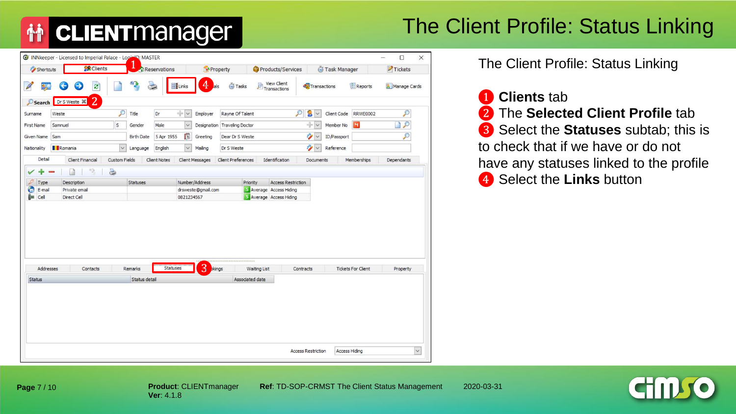## The Client Profile: Status Linking

| <b>View Client</b><br>4<br>$\mathbf{a}$<br>Transactions<br>€<br><b>BLinks</b><br><b>Tasks</b><br><b>Reports</b><br>Transactions<br>Manage Cards<br>85<br>$\bigcirc$<br>als<br>$\overline{2}$<br>Dr S Weste $\%$<br>Search<br>$\mathcal{D}$<br>$\div$<br>$\sim$<br>P<br>£<br><b>RRWE0002</b><br>Dr<br>Employer<br>Rayne Of Talent<br>Client Code<br>Weste<br>Title<br>$\checkmark$<br>Surname<br>÷V<br>$\mathcal{P}$<br>S<br>M<br>Samnuel<br>Male<br>Designation Traveling Doctor<br>Member No<br><b>First Name</b><br>Gender<br>P<br>G<br>$\mathscr{D} \times$<br>Sam<br><b>Birth Date</b><br>5 Apr 1955<br>ID/Passport<br>Given Name<br>Greeting<br>Dear Dr S Weste<br>Ý<br>Romania<br>Nationality<br>$\checkmark$<br>English<br>Mailing<br>Dr S Weste<br>Reference<br>Language<br>$\checkmark$<br>$\checkmark$<br>Detail<br>Client Financial<br>Identification<br>Custom Fields<br><b>Client Notes</b><br><b>Client Messages</b><br><b>Client Preferences</b><br>Memberships<br>Dependants<br>Documents<br>S<br>n<br>Number/Address<br>Priority<br><b>Access Restriction</b><br>Description<br><b>Statuses</b><br>Type<br>c<br><b>5</b> Average Access Hiding<br>drsweste@gmail.com<br>E-mail<br>Private email<br>Ê.<br>5 Average Access Hiding<br>Cell<br>Direct Cell<br>0821234567<br><br>3<br>Statuses<br>Addresses<br>Contacts<br>Remarks<br>kings<br><b>Tickets For Client</b><br><b>Waiting List</b><br>Contracts<br>Property<br>Status detail<br>Status<br>Associated date | Shortcuts | <b>CR</b> Clients | Щ | Reservations | Property | Products/Services | Task Manager | Tickets |
|-------------------------------------------------------------------------------------------------------------------------------------------------------------------------------------------------------------------------------------------------------------------------------------------------------------------------------------------------------------------------------------------------------------------------------------------------------------------------------------------------------------------------------------------------------------------------------------------------------------------------------------------------------------------------------------------------------------------------------------------------------------------------------------------------------------------------------------------------------------------------------------------------------------------------------------------------------------------------------------------------------------------------------------------------------------------------------------------------------------------------------------------------------------------------------------------------------------------------------------------------------------------------------------------------------------------------------------------------------------------------------------------------------------------------------------------------------------------------------------|-----------|-------------------|---|--------------|----------|-------------------|--------------|---------|
|                                                                                                                                                                                                                                                                                                                                                                                                                                                                                                                                                                                                                                                                                                                                                                                                                                                                                                                                                                                                                                                                                                                                                                                                                                                                                                                                                                                                                                                                                     |           |                   |   |              |          |                   |              |         |
|                                                                                                                                                                                                                                                                                                                                                                                                                                                                                                                                                                                                                                                                                                                                                                                                                                                                                                                                                                                                                                                                                                                                                                                                                                                                                                                                                                                                                                                                                     |           |                   |   |              |          |                   |              |         |
|                                                                                                                                                                                                                                                                                                                                                                                                                                                                                                                                                                                                                                                                                                                                                                                                                                                                                                                                                                                                                                                                                                                                                                                                                                                                                                                                                                                                                                                                                     |           |                   |   |              |          |                   |              |         |
|                                                                                                                                                                                                                                                                                                                                                                                                                                                                                                                                                                                                                                                                                                                                                                                                                                                                                                                                                                                                                                                                                                                                                                                                                                                                                                                                                                                                                                                                                     |           |                   |   |              |          |                   |              |         |
|                                                                                                                                                                                                                                                                                                                                                                                                                                                                                                                                                                                                                                                                                                                                                                                                                                                                                                                                                                                                                                                                                                                                                                                                                                                                                                                                                                                                                                                                                     |           |                   |   |              |          |                   |              |         |
|                                                                                                                                                                                                                                                                                                                                                                                                                                                                                                                                                                                                                                                                                                                                                                                                                                                                                                                                                                                                                                                                                                                                                                                                                                                                                                                                                                                                                                                                                     |           |                   |   |              |          |                   |              |         |
|                                                                                                                                                                                                                                                                                                                                                                                                                                                                                                                                                                                                                                                                                                                                                                                                                                                                                                                                                                                                                                                                                                                                                                                                                                                                                                                                                                                                                                                                                     |           |                   |   |              |          |                   |              |         |
|                                                                                                                                                                                                                                                                                                                                                                                                                                                                                                                                                                                                                                                                                                                                                                                                                                                                                                                                                                                                                                                                                                                                                                                                                                                                                                                                                                                                                                                                                     |           |                   |   |              |          |                   |              |         |
|                                                                                                                                                                                                                                                                                                                                                                                                                                                                                                                                                                                                                                                                                                                                                                                                                                                                                                                                                                                                                                                                                                                                                                                                                                                                                                                                                                                                                                                                                     |           |                   |   |              |          |                   |              |         |
|                                                                                                                                                                                                                                                                                                                                                                                                                                                                                                                                                                                                                                                                                                                                                                                                                                                                                                                                                                                                                                                                                                                                                                                                                                                                                                                                                                                                                                                                                     |           |                   |   |              |          |                   |              |         |
|                                                                                                                                                                                                                                                                                                                                                                                                                                                                                                                                                                                                                                                                                                                                                                                                                                                                                                                                                                                                                                                                                                                                                                                                                                                                                                                                                                                                                                                                                     |           |                   |   |              |          |                   |              |         |
|                                                                                                                                                                                                                                                                                                                                                                                                                                                                                                                                                                                                                                                                                                                                                                                                                                                                                                                                                                                                                                                                                                                                                                                                                                                                                                                                                                                                                                                                                     |           |                   |   |              |          |                   |              |         |
|                                                                                                                                                                                                                                                                                                                                                                                                                                                                                                                                                                                                                                                                                                                                                                                                                                                                                                                                                                                                                                                                                                                                                                                                                                                                                                                                                                                                                                                                                     |           |                   |   |              |          |                   |              |         |
|                                                                                                                                                                                                                                                                                                                                                                                                                                                                                                                                                                                                                                                                                                                                                                                                                                                                                                                                                                                                                                                                                                                                                                                                                                                                                                                                                                                                                                                                                     |           |                   |   |              |          |                   |              |         |
|                                                                                                                                                                                                                                                                                                                                                                                                                                                                                                                                                                                                                                                                                                                                                                                                                                                                                                                                                                                                                                                                                                                                                                                                                                                                                                                                                                                                                                                                                     |           |                   |   |              |          |                   |              |         |
|                                                                                                                                                                                                                                                                                                                                                                                                                                                                                                                                                                                                                                                                                                                                                                                                                                                                                                                                                                                                                                                                                                                                                                                                                                                                                                                                                                                                                                                                                     |           |                   |   |              |          |                   |              |         |
|                                                                                                                                                                                                                                                                                                                                                                                                                                                                                                                                                                                                                                                                                                                                                                                                                                                                                                                                                                                                                                                                                                                                                                                                                                                                                                                                                                                                                                                                                     |           |                   |   |              |          |                   |              |         |
|                                                                                                                                                                                                                                                                                                                                                                                                                                                                                                                                                                                                                                                                                                                                                                                                                                                                                                                                                                                                                                                                                                                                                                                                                                                                                                                                                                                                                                                                                     |           |                   |   |              |          |                   |              |         |

The Client Profile: Status Linking



❸ Select the **Statuses** subtab; this is to check that if we have or do not have any statuses linked to the profile ❹ Select the **Links** button



**Product**: CLIENTmanager **Ref**: TD-SOP-CRMST The Client Status Management 2020-03-31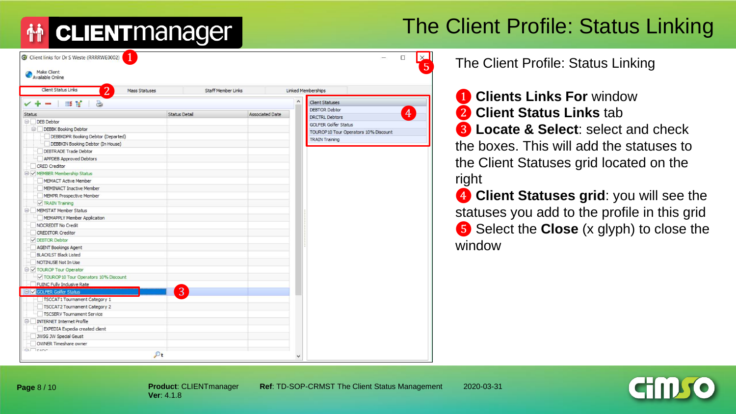# **CLIENT** manager

## The Client Profile: Status Linking

| C Client links for Dr S Weste (RRRRWE0002)   |                      |                      |                           |                        |         |                             |                                       | $\Box$         | $\times$<br>5 |
|----------------------------------------------|----------------------|----------------------|---------------------------|------------------------|---------|-----------------------------|---------------------------------------|----------------|---------------|
| Make Client<br>Available Online              |                      |                      |                           |                        |         |                             |                                       |                |               |
| <b>Client Status Links</b><br>$\overline{2}$ | <b>Mass Statuses</b> |                      | <b>Staff Member Links</b> |                        |         | Linked Memberships          |                                       |                |               |
|                                              |                      |                      |                           |                        | $\land$ | <b>Client Statuses</b>      |                                       |                |               |
| <b>B</b><br>a<br><b>County</b>               |                      |                      |                           |                        |         | <b>DEBTOR Debtor</b>        |                                       |                |               |
| Status                                       |                      | <b>Status Detail</b> |                           | <b>Associated Date</b> |         | <b>DRCTRL Debtors</b>       |                                       | $\overline{4}$ |               |
| DEB Debtor                                   |                      |                      |                           |                        |         | <b>GOLFER Golfer Status</b> |                                       |                |               |
| <b>DEBBK</b> Booking Debtor                  |                      |                      |                           |                        |         |                             | TOUROP 10 Tour Operators 10% Discount |                |               |
| DEBBKDPR Booking Debtor (Departed)           |                      |                      |                           |                        |         | <b>TRAIN Training</b>       |                                       |                |               |
| DEBBKIN Booking Debtor (In House)            |                      |                      |                           |                        |         |                             |                                       |                |               |
| DEBTRADE Trade Debtor                        |                      |                      |                           |                        |         |                             |                                       |                |               |
| APPDEB Approved Debtors                      |                      |                      |                           |                        |         |                             |                                       |                |               |
| <b>CRED</b> Creditor                         |                      |                      |                           |                        |         |                             |                                       |                |               |
| O MEMBER Membership Status                   |                      |                      |                           |                        |         |                             |                                       |                |               |
| MEMACT Active Member                         |                      |                      |                           |                        |         |                             |                                       |                |               |
| MEMINACT Inactive Member                     |                      |                      |                           |                        |         |                             |                                       |                |               |
| MEMPR Prospective Member                     |                      |                      |                           |                        |         |                             |                                       |                |               |
| <b>V</b> TRAIN Training                      |                      |                      |                           |                        |         |                             |                                       |                |               |
| MEMSTAT Member Status                        |                      |                      |                           |                        |         |                             |                                       |                |               |
| MEMAPPLY Member Application                  |                      |                      |                           |                        |         |                             |                                       |                |               |
| NOCREDIT No Credit                           |                      |                      |                           |                        |         |                             |                                       |                |               |
| <b>CREDITOR Creditor</b>                     |                      |                      |                           |                        |         |                             |                                       |                |               |
| DEBTOR Debtor                                |                      |                      |                           |                        |         |                             |                                       |                |               |
| AGENT Bookings Agent                         |                      |                      |                           |                        |         |                             |                                       |                |               |
| <b>BLACKLST Black Listed</b>                 |                      |                      |                           |                        |         |                             |                                       |                |               |
| NOTINUSE Not In Use                          |                      |                      |                           |                        |         |                             |                                       |                |               |
| □ √ TOUROP Tour Operator                     |                      |                      |                           |                        |         |                             |                                       |                |               |
| TOUROP 10 Tour Operators 10% Discount        |                      |                      |                           |                        |         |                             |                                       |                |               |
| FUINC Fully Indusive Rate                    |                      |                      |                           |                        |         |                             |                                       |                |               |
| <b>El V GOLFER Golfer Status</b>             |                      | 3                    |                           |                        |         |                             |                                       |                |               |
| TSCCAT1 Tournament Category 1                |                      |                      |                           |                        |         |                             |                                       |                |               |
| TSCCAT2 Tournament Category 2                |                      |                      |                           |                        |         |                             |                                       |                |               |
| TSCSERV Tournament Service                   |                      |                      |                           |                        |         |                             |                                       |                |               |
| E INTERNET Internet Profile                  |                      |                      |                           |                        |         |                             |                                       |                |               |
| EXPEDIA Expedia created client               |                      |                      |                           |                        |         |                             |                                       |                |               |
| JWSG JW Special Geust                        |                      |                      |                           |                        |         |                             |                                       |                |               |
| OWNER Timeshare owner                        |                      |                      |                           |                        |         |                             |                                       |                |               |
| <b>C. Teans</b>                              |                      |                      |                           |                        |         |                             |                                       |                |               |
|                                              | $\mathcal{D}_{t}$    |                      |                           |                        |         |                             |                                       |                |               |

The Client Profile: Status Linking

**1** Clients Links For window ❷ **Client Status Links** tab ❸ **Locate & Select**: select and check the boxes. This will add the statuses to the Client Statuses grid located on the right

**4** Client Statuses grid: you will see the statuses you add to the profile in this grid ❺ Select the **Close** (x glyph) to close the window

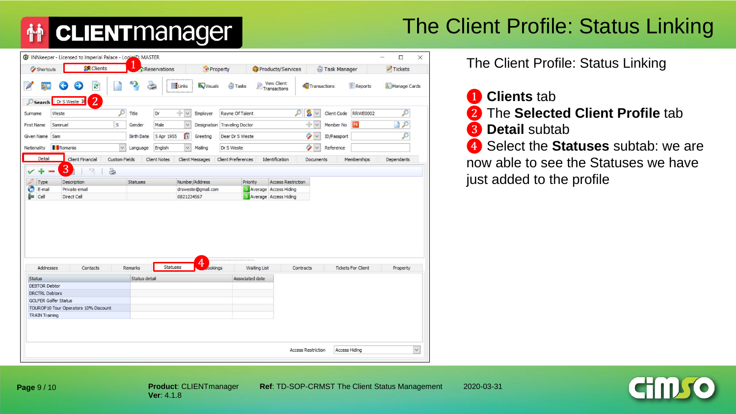## The Client Profile: Status Linking

| Shortcuts                                            | <b>CR</b> Clients                     |                      |                   | Reservations           | Property               |                              | Products/Services                  |                   | Task Manager |                           | Tickets                  |
|------------------------------------------------------|---------------------------------------|----------------------|-------------------|------------------------|------------------------|------------------------------|------------------------------------|-------------------|--------------|---------------------------|--------------------------|
| 85                                                   | ø<br>Θ                                |                      | $\mathbf{a}$      | Links<br>$\Rightarrow$ | Visuals                | <b>Tasks</b>                 | <b>View Client</b><br>Transactions | Transactions      |              | <b>Reports</b>            | Manage Cards             |
|                                                      | 2<br>Search Dr S Weste &              |                      |                   |                        |                        |                              |                                    |                   |              |                           |                          |
| Surname                                              | Weste                                 | O                    | Title             | ÷v<br>Dr               | Employer               | Rayne Of Talent              |                                    | ₽<br>$\sim$       | Client Code  | <b>RRWE0002</b>           | $\mathcal{P}$            |
| <b>First Name</b>                                    | Samnuel                               | S                    | Gender            | Male                   | $\checkmark$           | Designation Traveling Doctor |                                    | ÷v                | Member No    |                           | $\overline{\mathcal{P}}$ |
| Given Name                                           | Sam                                   |                      | <b>Birth Date</b> | 5 Apr 1955             | G<br>Greeting          | Dear Dr S Weste              |                                    | Ŷ<br>$\vee$       | ID/Passport  |                           | $\mathcal{P}$            |
| Nationality                                          | Romania                               | $\check{~}$          | Language          | English                | Mailing<br>$\check{ }$ | Dr S Weste                   |                                    | Ŷ<br>$\checkmark$ | Reference    |                           |                          |
| Detail                                               | Client Financial                      | <b>Custom Fields</b> |                   | <b>Client Notes</b>    | Client Messages        | <b>Client Preferences</b>    | Identification                     | Documents         |              | Memberships               | Dependants               |
|                                                      | 3<br>12                               | è                    |                   |                        |                        |                              |                                    |                   |              |                           |                          |
| Type                                                 | Description                           |                      | <b>Statuses</b>   |                        | Number/Address         | Priority                     | <b>Access Restriction</b>          |                   |              |                           |                          |
| O<br>E-mail                                          | Private email                         |                      |                   |                        | drsweste@gmail.com     |                              | Average Access Hiding              |                   |              |                           |                          |
|                                                      |                                       |                      |                   |                        |                        |                              |                                    |                   |              |                           |                          |
| Cell                                                 | Direct Cell                           |                      |                   |                        | 0821234567             |                              | 5 Average Access Hiding            |                   |              |                           |                          |
|                                                      |                                       |                      |                   | Statuses               | 4                      |                              |                                    |                   |              |                           |                          |
| Addresses                                            | Contacts                              |                      | Remarks           |                        | ookings                |                              | <b>Waiting List</b>                | Contracts         |              | <b>Tickets For Client</b> | Property                 |
|                                                      |                                       |                      | Status detail     |                        |                        | Associated date              |                                    |                   |              |                           |                          |
|                                                      |                                       |                      |                   |                        |                        |                              |                                    |                   |              |                           |                          |
| <b>DRCTRL Debtors</b><br><b>GOLFER Golfer Status</b> |                                       |                      |                   |                        |                        |                              |                                    |                   |              |                           |                          |
| <b>DEBTOR Debtor</b>                                 | TOUROP 10 Tour Operators 10% Discount |                      |                   |                        |                        |                              |                                    |                   |              |                           |                          |
| 饇<br><b>Status</b><br><b>TRAIN Training</b>          |                                       |                      |                   |                        |                        |                              |                                    |                   |              |                           |                          |
|                                                      |                                       |                      |                   |                        |                        |                              |                                    |                   |              |                           |                          |

The Client Profile: Status Linking



❸ **Detail** subtab

**4** Select the **Statuses** subtab: we are now able to see the Statuses we have just added to the profile